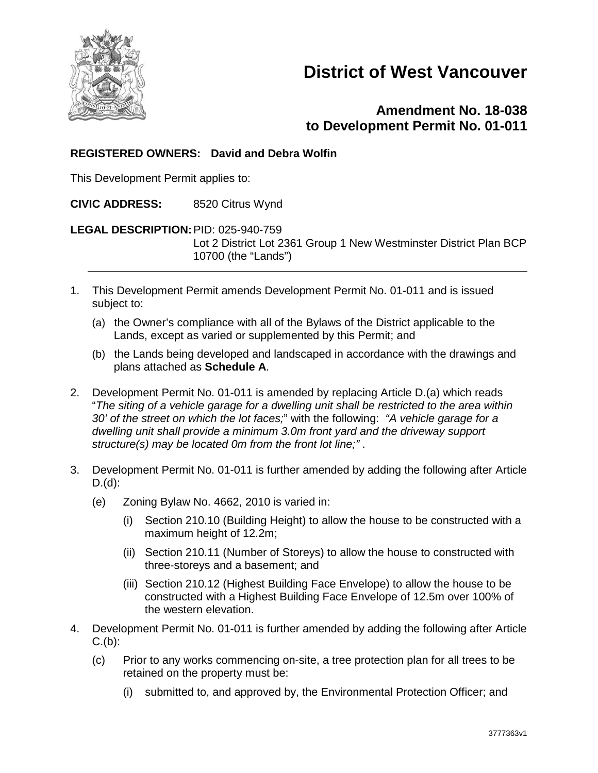

# **District of West Vancouver**

# **Amendment No. 18-038 to Development Permit No. 01-011**

## **REGISTERED OWNERS: David and Debra Wolfin**

This Development Permit applies to:

**CIVIC ADDRESS:** 8520 Citrus Wynd

**LEGAL DESCRIPTION:**PID: 025-940-759

Lot 2 District Lot 2361 Group 1 New Westminster District Plan BCP 10700 (the "Lands")

- 1. This Development Permit amends Development Permit No. 01-011 and is issued subject to:
	- (a) the Owner's compliance with all of the Bylaws of the District applicable to the Lands, except as varied or supplemented by this Permit; and
	- (b) the Lands being developed and landscaped in accordance with the drawings and plans attached as **Schedule A**.
- 2. Development Permit No. 01-011 is amended by replacing Article D.(a) which reads "*The siting of a vehicle garage for a dwelling unit shall be restricted to the area within 30' of the street on which the lot faces;*" with the following: *"A vehicle garage for a dwelling unit shall provide a minimum 3.0m front yard and the driveway support structure(s) may be located 0m from the front lot line;"* .
- 3. Development Permit No. 01-011 is further amended by adding the following after Article D.(d):
	- (e) Zoning Bylaw No. 4662, 2010 is varied in:
		- (i) Section 210.10 (Building Height) to allow the house to be constructed with a maximum height of 12.2m;
		- (ii) Section 210.11 (Number of Storeys) to allow the house to constructed with three-storeys and a basement; and
		- (iii) Section 210.12 (Highest Building Face Envelope) to allow the house to be constructed with a Highest Building Face Envelope of 12.5m over 100% of the western elevation.
- 4. Development Permit No. 01-011 is further amended by adding the following after Article  $C.(b)$ :
	- (c) Prior to any works commencing on-site, a tree protection plan for all trees to be retained on the property must be:
		- (i) submitted to, and approved by, the Environmental Protection Officer; and